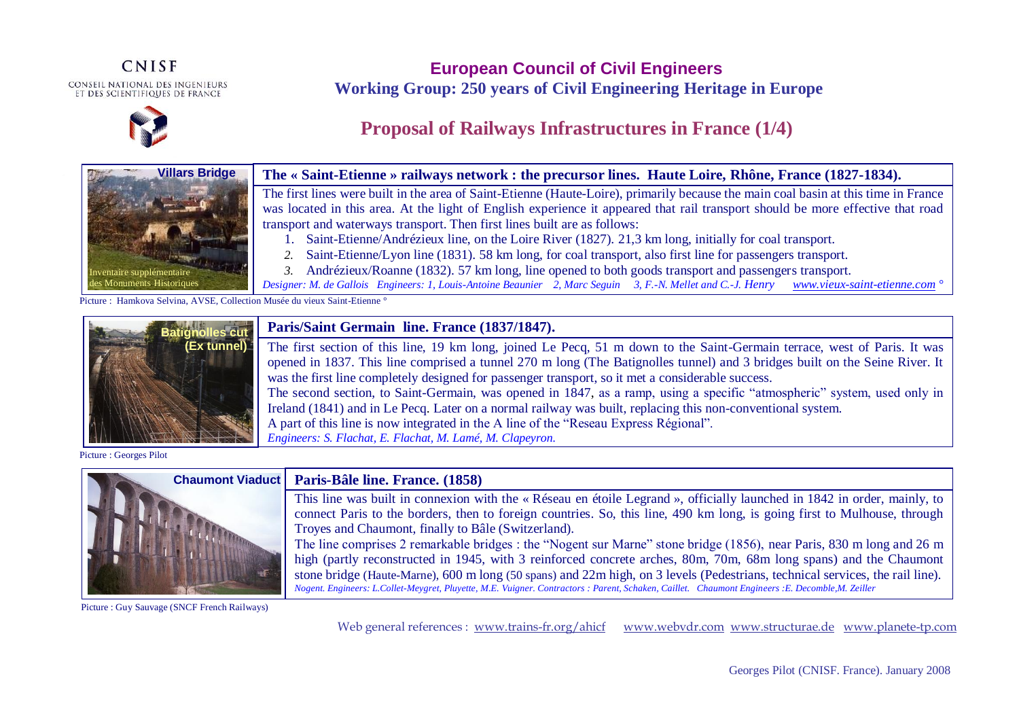**CNISF** CONSEIL NATIONAL DES INGENIEURS<br>Et des scientifiques de france



**European Council of Civil Engineers Working Group: 250 years of Civil Engineering Heritage in Europe**

## **Proposal of Railways Infrastructures in France (1/4)**



### **The « Saint-Etienne » railways network : the precursor lines. Haute Loire, Rhône, France (1827-1834).**

The first lines were built in the area of Saint-Etienne (Haute-Loire), primarily because the main coal basin at this time in France was located in this area. At the light of English experience it appeared that rail transport should be more effective that road transport and waterways transport. Then first lines built are as follows:

- 1. Saint-Etienne/Andrézieux line, on the Loire River (1827). 21,3 km long, initially for coal transport.
- *2.* Saint-Etienne/Lyon line (1831). 58 km long, for coal transport, also first line for passengers transport.
- *3.* Andrézieux/Roanne (1832). 57 km long, line opened to both goods transport and passengers transport.

*Designer: M. de Gallois Engineers: 1, Louis-Antoine Beaunier 2, Marc Seguin 3, F.-N. Mellet and C.-J. Henry [www.vieux-saint-etienne.com](http://www.vieux-saint-etienne.com/) °* 

Picture : Hamkova Selvina, AVSE, Collection Musée du vieux Saint-Etienne °



### **Paris/Saint Germain line. France (1837/1847).**

The first section of this line, 19 km long, joined Le Pecq, 51 m down to the Saint-Germain terrace, west of Paris. It was opened in 1837. This line comprised a tunnel 270 m long (The Batignolles tunnel) and 3 bridges built on the Seine River. It was the first line completely designed for passenger transport, so it met a considerable success. The second section, to Saint-Germain, was opened in 1847, as a ramp, using a specific "atmospheric" system, used only in Ireland (1841) and in Le Pecq. Later on a normal railway was built, replacing this non-conventional system. A part of this line is now integrated in the A line of the "Reseau Express Régional". *Engineers: S. Flachat, E. Flachat, M. Lamé, M. Clapeyron.* 

Picture : Georges Pilot



#### **Paris-Bâle line. France. (1858)**

This line was built in connexion with the « Réseau en étoile Legrand », officially launched in 1842 in order, mainly, to connect Paris to the borders, then to foreign countries. So, this line, 490 km long, is going first to Mulhouse, through Troyes and Chaumont, finally to Bâle (Switzerland).

The line comprises 2 remarkable bridges : the "Nogent sur Marne" stone bridge (1856), near Paris, 830 m long and 26 m high (partly reconstructed in 1945, with 3 reinforced concrete arches, 80m, 70m, 68m long spans) and the Chaumont stone bridge (Haute-Marne), 600 m long (50 spans) and 22m high, on 3 levels (Pedestrians, technical services, the rail line). *Nogent. Engineers: L.Collet-Meygret, Pluyette, M.E. Vuigner. Contractors : Parent, Schaken, Caillet. Chaumont Engineers :E. Decomble,M. Zeiller* 

Picture : Guy Sauvage (SNCF French Railways)

Web general references : [www.trains-fr.org/ahicf](http://www.trains-fr.org/ahicf) [www.webvdr.com](http://www.webvdr.com/) [www.structurae.de](http://www.structurae.de/) [www.planete-tp.com](http://www.planete-tp.com/)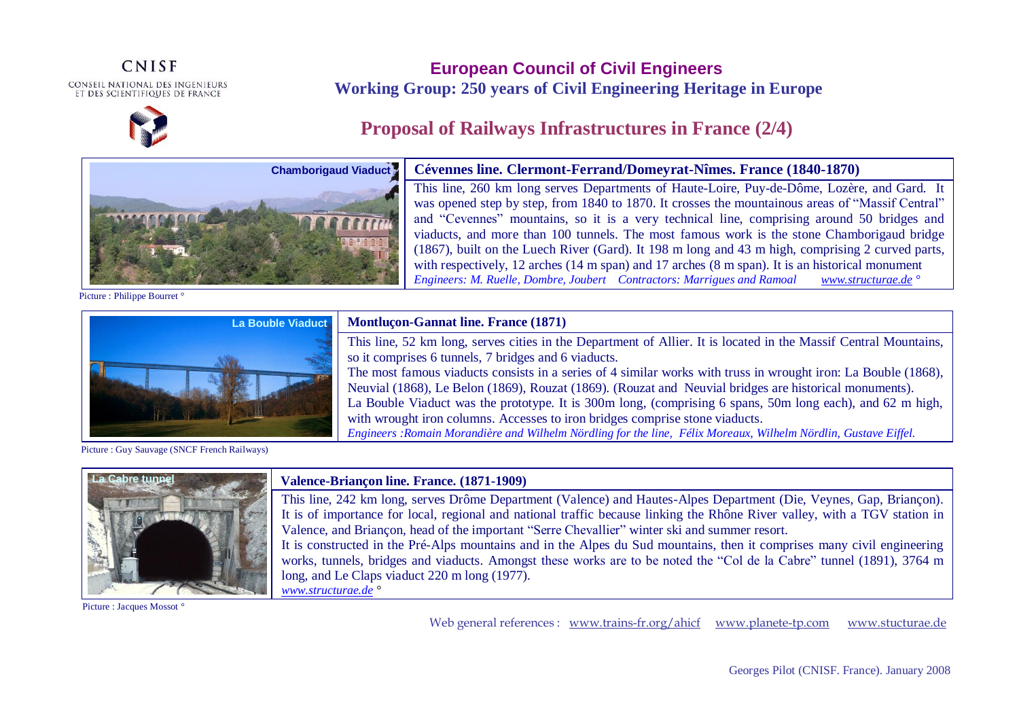## **CNISF** CONSEIL NATIONAL DES INGENIEURS<br>Et des scientifiques de france



## **European Council of Civil Engineers Working Group: 250 years of Civil Engineering Heritage in Europe**

# **Proposal of Railways Infrastructures in France (2/4)**

with wrought iron columns. Accesses to iron bridges comprise stone viaducts.



**Cévennes line. Clermont-Ferrand/Domeyrat-Nîmes. France (1840-1870)**  This line, 260 km long serves Departments of Haute-Loire, Puy-de-Dôme, Lozère, and Gard. It was opened step by step, from 1840 to 1870. It crosses the mountainous areas of "Massif Central" and "Cevennes" mountains, so it is a very technical line, comprising around 50 bridges and viaducts, and more than 100 tunnels. The most famous work is the stone Chamborigaud bridge (1867), built on the Luech River (Gard). It 198 m long and 43 m high, comprising 2 curved parts, with respectively, 12 arches (14 m span) and 17 arches (8 m span). It is an historical monument *Engineers: M. Ruelle, Dombre, Joubert Contractors: Marrigues and Ramoal [www.structurae.de](http://www.structurae.de/) °*

This line, 52 km long, serves cities in the Department of Allier. It is located in the Massif Central Mountains,

The most famous viaducts consists in a series of 4 similar works with truss in wrought iron: La Bouble (1868), Neuvial (1868), Le Belon (1869), Rouzat (1869). (Rouzat and Neuvial bridges are historical monuments). La Bouble Viaduct was the prototype. It is 300m long, (comprising 6 spans, 50m long each), and 62 m high,

*Engineers :Romain Morandière and Wilhelm Nördling for the line, Félix Moreaux, Wilhelm Nördlin, Gustave Eiffel.*

Picture : Philippe Bourret °



Picture : Guy Sauvage (SNCF French Railways)



#### **Valence-Briançon line. France. (1871-1909)**

**Montluçon-Gannat line. France (1871)** 

so it comprises 6 tunnels, 7 bridges and 6 viaducts.

This line, 242 km long, serves Drôme Department (Valence) and Hautes-Alpes Department (Die, Veynes, Gap, Briançon). It is of importance for local, regional and national traffic because linking the Rhône River valley, with a TGV station in Valence, and Briançon, head of the important "Serre Chevallier" winter ski and summer resort. It is constructed in the Pré-Alps mountains and in the Alpes du Sud mountains, then it comprises many civil engineering

works, tunnels, bridges and viaducts. Amongst these works are to be noted the "Col de la Cabre" tunnel (1891), 3764 m long, and Le Claps viaduct 220 m long (1977).

Picture : Jacques Mossot °

*[www.structurae.de](http://www.structurae.de/) °*

Web general references : [www.trains-fr.org/ahicf](http://www.trains-fr.org/ahicf) [www.planete-tp.com](http://www.planete-tp.com/) www.stucturae.de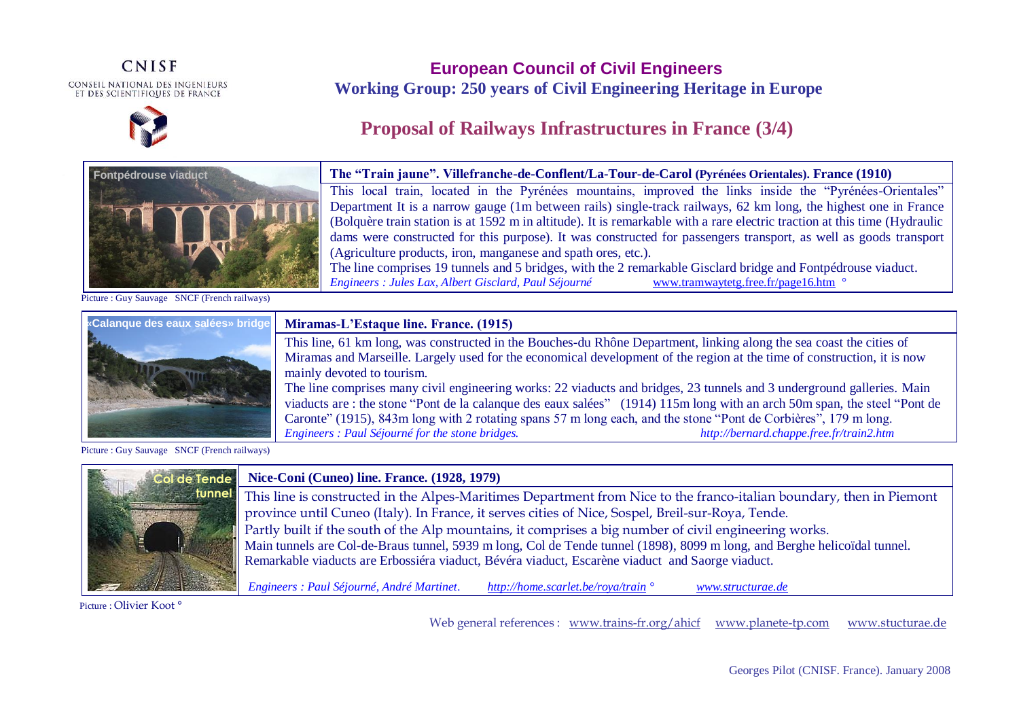## **CNISF** CONSEIL NATIONAL DES INGENIEURS<br>Et des scientifiques de france



## **European Council of Civil Engineers Working Group: 250 years of Civil Engineering Heritage in Europe**

# **Proposal of Railways Infrastructures in France (3/4)**



Picture : Guy Sauvage SNCF (French railways)



#### **Miramas-L'Estaque line. France. (1915)**

This line, 61 km long, was constructed in the Bouches-du Rhône Department, linking along the sea coast the cities of Miramas and Marseille. Largely used for the economical development of the region at the time of construction, it is now mainly devoted to tourism.

The line comprises many civil engineering works: 22 viaducts and bridges, 23 tunnels and 3 underground galleries. Main viaducts are : the stone "Pont de la calanque des eaux salées" (1914) 115m long with an arch 50m span, the steel "Pont de Caronte" (1915), 843m long with 2 rotating spans 57 m long each, and the stone "Pont de Corbières", 179 m long. *Engineers : Paul Séjourné for the stone bridges. http://bernard.chappe.free.fr/train2.htm*

Picture : Guy Sauvage SNCF (French railways)



Picture: Olivier Koot °

Web general references : [www.trains-fr.org/ahicf](http://www.trains-fr.org/ahicf) [www.planete-tp.com](http://www.planete-tp.com/) www.stucturae.de